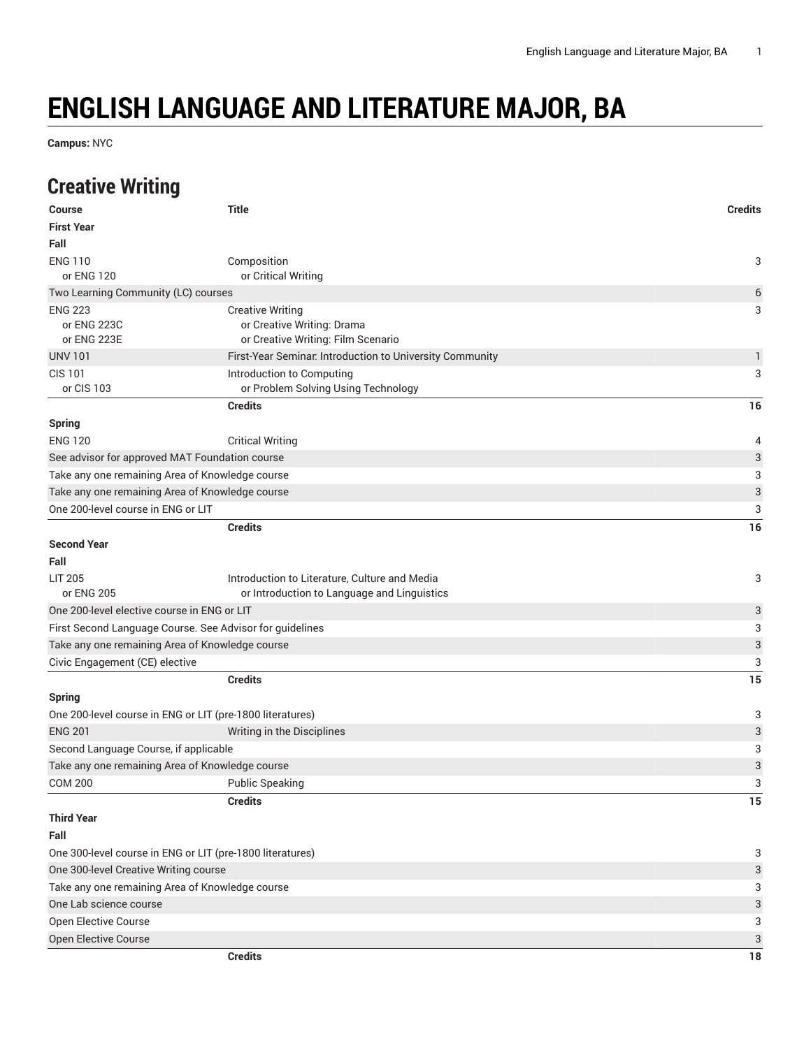# **ENGLISH LANGUAGE AND LITERATURE MAJOR, BA**

**Campus:** NYC

## **Creative Writing**

| <b>Course</b>                                   | <b>Title</b>                                                                                 | <b>Credits</b>            |
|-------------------------------------------------|----------------------------------------------------------------------------------------------|---------------------------|
| <b>First Year</b>                               |                                                                                              |                           |
| Fall                                            |                                                                                              |                           |
| <b>ENG 110</b><br>or ENG 120                    | Composition<br>or Critical Writing                                                           | 3                         |
| Two Learning Community (LC) courses             |                                                                                              | 6                         |
| <b>ENG 223</b><br>or ENG 223C<br>or ENG 223E    | <b>Creative Writing</b><br>or Creative Writing: Drama<br>or Creative Writing: Film Scenario  | 3                         |
| <b>UNV 101</b>                                  | First-Year Seminar. Introduction to University Community                                     | $\mathbf{1}$              |
| <b>CIS 101</b><br>or CIS 103                    | Introduction to Computing<br>or Problem Solving Using Technology                             | 3                         |
|                                                 | <b>Credits</b>                                                                               | 16                        |
| <b>Spring</b>                                   |                                                                                              |                           |
| <b>ENG 120</b>                                  | <b>Critical Writing</b>                                                                      | 4                         |
| See advisor for approved MAT Foundation course  |                                                                                              | 3                         |
| Take any one remaining Area of Knowledge course |                                                                                              | 3                         |
| Take any one remaining Area of Knowledge course |                                                                                              | 3                         |
| One 200-level course in ENG or LIT              |                                                                                              | 3                         |
|                                                 | <b>Credits</b>                                                                               | 16                        |
| <b>Second Year</b>                              |                                                                                              |                           |
| Fall                                            |                                                                                              |                           |
| <b>LIT 205</b><br>or ENG 205                    | Introduction to Literature, Culture and Media<br>or Introduction to Language and Linguistics | 3                         |
| One 200-level elective course in ENG or LIT     |                                                                                              | 3                         |
|                                                 | First Second Language Course. See Advisor for guidelines                                     | 3                         |
| Take any one remaining Area of Knowledge course |                                                                                              | $\ensuremath{\mathsf{3}}$ |
| Civic Engagement (CE) elective                  |                                                                                              | 3                         |
|                                                 | <b>Credits</b>                                                                               | 15                        |
| <b>Spring</b>                                   |                                                                                              |                           |
|                                                 | One 200-level course in ENG or LIT (pre-1800 literatures)                                    | 3                         |
| <b>ENG 201</b>                                  | Writing in the Disciplines                                                                   | $\ensuremath{\mathsf{3}}$ |
| Second Language Course, if applicable           |                                                                                              | 3                         |
| Take any one remaining Area of Knowledge course |                                                                                              | 3                         |
| <b>COM 200</b>                                  | <b>Public Speaking</b>                                                                       | 3                         |
|                                                 | <b>Credits</b>                                                                               | 15                        |
| <b>Third Year</b>                               |                                                                                              |                           |
| Fall                                            |                                                                                              |                           |
|                                                 | One 300-level course in ENG or LIT (pre-1800 literatures)                                    | 3                         |
| One 300-level Creative Writing course           |                                                                                              | 3                         |
| Take any one remaining Area of Knowledge course |                                                                                              | 3                         |
| One Lab science course                          |                                                                                              | 3                         |
| Open Elective Course                            |                                                                                              | 3                         |
| Open Elective Course                            |                                                                                              | 3                         |
|                                                 | <b>Credits</b>                                                                               | $18\,$                    |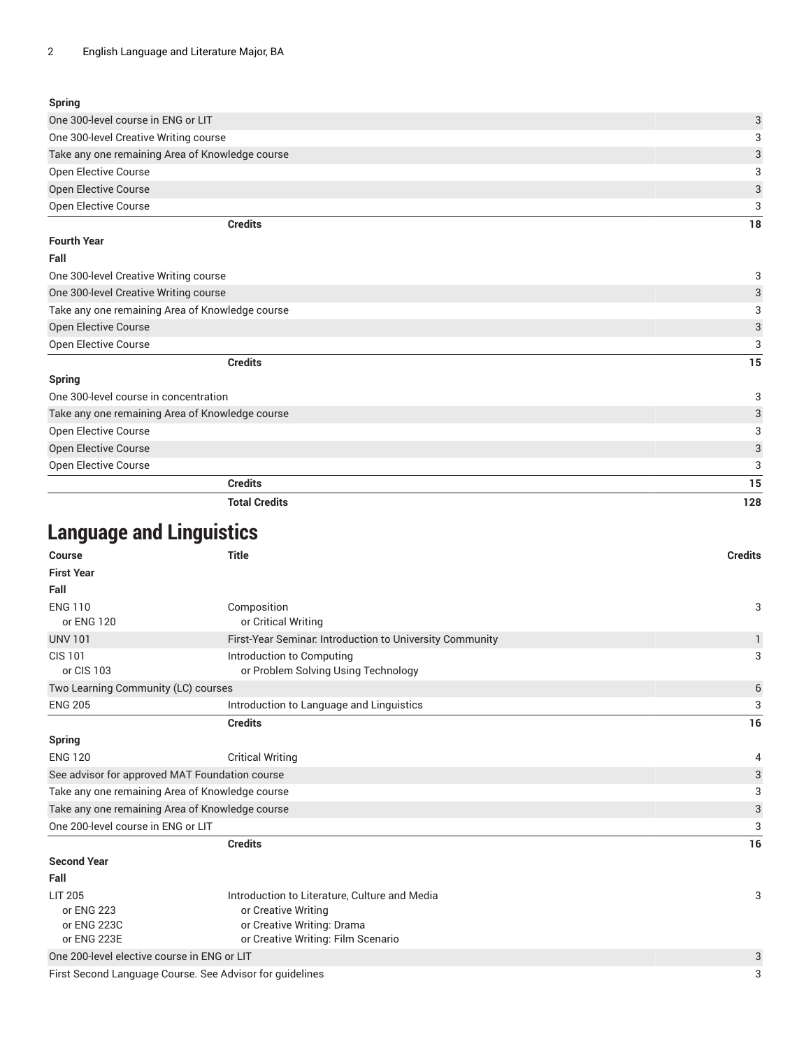#### **Spring**

| 3             |
|---------------|
| $\mathcal{R}$ |
| 3             |
| $\mathcal{E}$ |
| 3             |
| 3             |
|               |

#### **Fourth Year**

| Fall                                            |    |
|-------------------------------------------------|----|
| One 300-level Creative Writing course           | 3  |
| One 300-level Creative Writing course           | 3  |
| Take any one remaining Area of Knowledge course | 3  |
| <b>Open Elective Course</b>                     | 3  |
| <b>Open Elective Course</b>                     | 3  |
| <b>Credits</b>                                  | 15 |
| Spring                                          |    |
| One 300-level course in concentration           | 3  |
| Take any one remaining Area of Knowledge course | 3  |
| <b>Open Elective Course</b>                     | 3  |
| <b>Open Elective Course</b>                     | 3  |
| Open Elective Course                            | 3  |
| <b>Credits</b>                                  | 15 |

**Total Credits 128**

### **Language and Linguistics**

| <b>Course</b>                                   | <b>Title</b>                                                                                       | <b>Credits</b> |
|-------------------------------------------------|----------------------------------------------------------------------------------------------------|----------------|
| <b>First Year</b>                               |                                                                                                    |                |
| Fall                                            |                                                                                                    |                |
| <b>ENG 110</b><br>or ENG 120                    | Composition<br>or Critical Writing                                                                 | 3              |
| <b>UNV 101</b>                                  | First-Year Seminar. Introduction to University Community                                           | $\mathbf{1}$   |
| <b>CIS 101</b><br>or CIS 103                    | Introduction to Computing<br>or Problem Solving Using Technology                                   | 3              |
| Two Learning Community (LC) courses             |                                                                                                    | 6              |
| <b>ENG 205</b>                                  | Introduction to Language and Linguistics                                                           | 3              |
|                                                 | <b>Credits</b>                                                                                     | 16             |
| Spring                                          |                                                                                                    |                |
| <b>ENG 120</b>                                  | <b>Critical Writing</b>                                                                            | 4              |
| See advisor for approved MAT Foundation course  |                                                                                                    | 3              |
| Take any one remaining Area of Knowledge course |                                                                                                    | 3              |
| Take any one remaining Area of Knowledge course |                                                                                                    | 3              |
| One 200-level course in ENG or LIT              |                                                                                                    | 3              |
|                                                 | <b>Credits</b>                                                                                     | 16             |
| <b>Second Year</b>                              |                                                                                                    |                |
| Fall                                            |                                                                                                    |                |
| <b>LIT 205</b><br>or ENG 223<br>or ENG 223C     | Introduction to Literature, Culture and Media<br>or Creative Writing<br>or Creative Writing: Drama | 3              |

or ENG 223E or Creative Writing: Film Scenario

One 200-level elective course in ENG or LIT and the course in the course of the course of the course in ENG or LIT  $3$ 

First Second Language Course. See Advisor for guidelines 33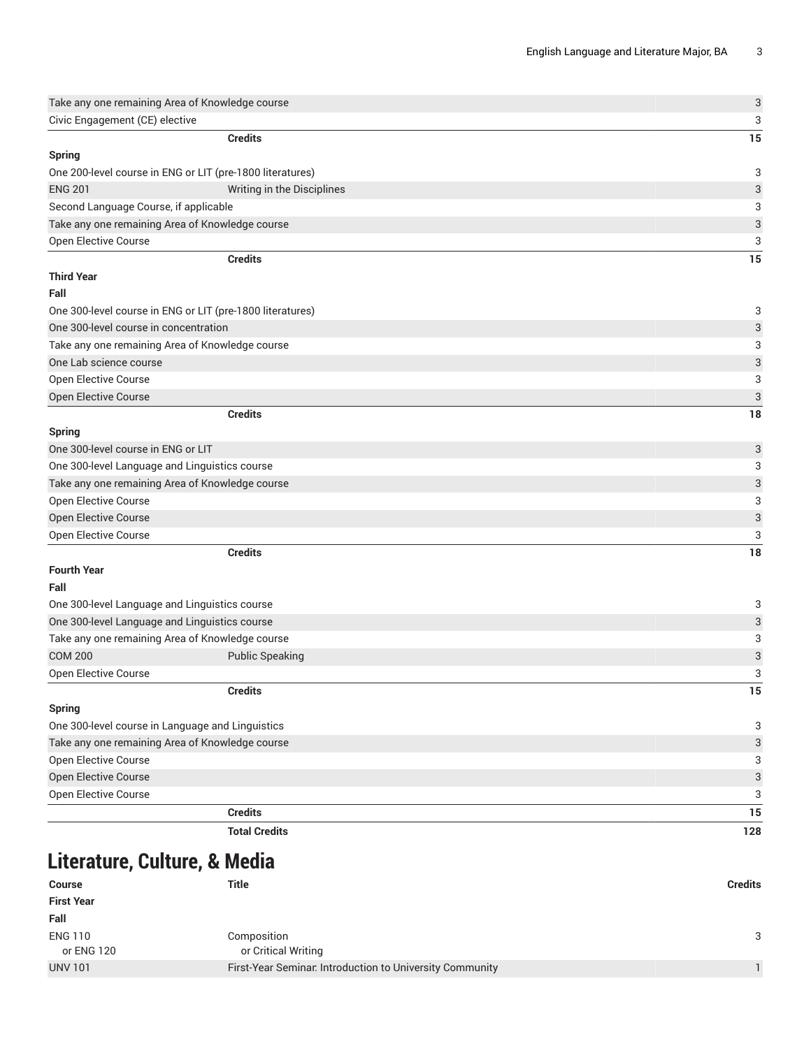| Take any one remaining Area of Knowledge course                                                    |                            | $\ensuremath{\mathsf{3}}$      |
|----------------------------------------------------------------------------------------------------|----------------------------|--------------------------------|
| Civic Engagement (CE) elective                                                                     |                            | 3                              |
|                                                                                                    | <b>Credits</b>             | 15                             |
| <b>Spring</b>                                                                                      |                            |                                |
| One 200-level course in ENG or LIT (pre-1800 literatures)                                          |                            | 3                              |
| <b>ENG 201</b>                                                                                     | Writing in the Disciplines | 3                              |
| Second Language Course, if applicable                                                              |                            | 3                              |
| Take any one remaining Area of Knowledge course                                                    |                            | 3                              |
| Open Elective Course                                                                               |                            | 3                              |
|                                                                                                    | <b>Credits</b>             | 15                             |
| <b>Third Year</b>                                                                                  |                            |                                |
| Fall                                                                                               |                            |                                |
|                                                                                                    |                            |                                |
| One 300-level course in ENG or LIT (pre-1800 literatures)<br>One 300-level course in concentration |                            | 3                              |
|                                                                                                    |                            | 3<br>3                         |
| Take any one remaining Area of Knowledge course<br>One Lab science course                          |                            | $\ensuremath{\mathsf{3}}$      |
| <b>Open Elective Course</b>                                                                        |                            |                                |
|                                                                                                    |                            | $\ensuremath{\mathsf{3}}$<br>3 |
| Open Elective Course                                                                               | <b>Credits</b>             |                                |
| <b>Spring</b>                                                                                      |                            | 18                             |
| One 300-level course in ENG or LIT                                                                 |                            | 3                              |
| One 300-level Language and Linguistics course                                                      |                            | 3                              |
| Take any one remaining Area of Knowledge course                                                    |                            | 3                              |
| Open Elective Course                                                                               |                            | 3                              |
| Open Elective Course                                                                               |                            | 3                              |
| Open Elective Course                                                                               |                            | 3                              |
|                                                                                                    | <b>Credits</b>             | 18                             |
| <b>Fourth Year</b>                                                                                 |                            |                                |
| Fall                                                                                               |                            |                                |
| One 300-level Language and Linguistics course                                                      |                            | 3                              |
| One 300-level Language and Linguistics course                                                      |                            | 3                              |
| Take any one remaining Area of Knowledge course                                                    |                            | 3                              |
| <b>COM 200</b>                                                                                     | <b>Public Speaking</b>     | 3                              |
| <b>Open Elective Course</b>                                                                        |                            | 3                              |
|                                                                                                    | <b>Credits</b>             | 15                             |
| <b>Spring</b>                                                                                      |                            |                                |
| One 300-level course in Language and Linguistics                                                   |                            | 3                              |
| Take any one remaining Area of Knowledge course                                                    |                            | 3                              |
| Open Elective Course                                                                               |                            | 3                              |
| Open Elective Course                                                                               |                            | $\ensuremath{\mathsf{3}}$      |
| Open Elective Course                                                                               |                            | 3                              |
|                                                                                                    | <b>Credits</b>             | 15                             |
|                                                                                                    | <b>Total Credits</b>       | 128                            |
|                                                                                                    |                            |                                |

### **Literature, Culture, & Media**

| <b>Course</b>     | Title                                                    | <b>Credits</b> |
|-------------------|----------------------------------------------------------|----------------|
| <b>First Year</b> |                                                          |                |
| Fall              |                                                          |                |
| <b>ENG 110</b>    | Composition                                              | 3              |
| or ENG 120        | or Critical Writing                                      |                |
| <b>UNV 101</b>    | First-Year Seminar. Introduction to University Community |                |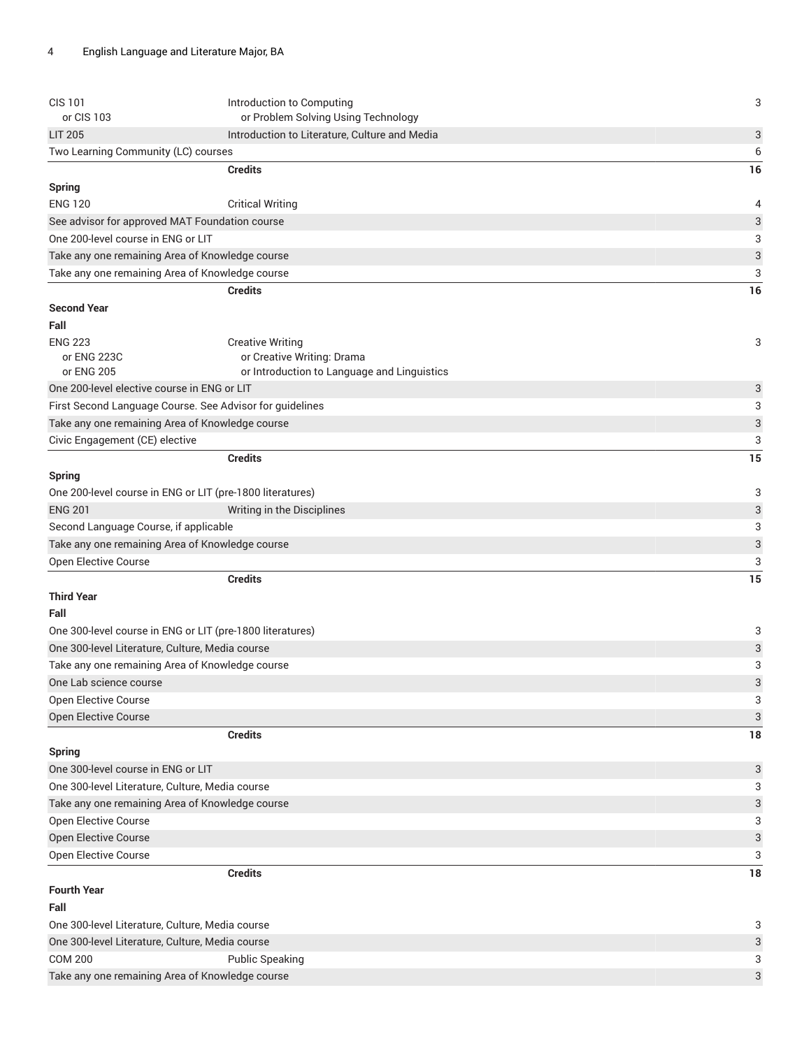| <b>CIS 101</b><br>or CIS 103                              | Introduction to Computing<br>or Problem Solving Using Technology | 3                         |
|-----------------------------------------------------------|------------------------------------------------------------------|---------------------------|
| <b>LIT 205</b>                                            | Introduction to Literature, Culture and Media                    | $\sqrt{3}$                |
| Two Learning Community (LC) courses                       |                                                                  | 6                         |
|                                                           | <b>Credits</b>                                                   | 16                        |
| <b>Spring</b>                                             |                                                                  |                           |
| <b>ENG 120</b>                                            | <b>Critical Writing</b>                                          | 4                         |
| See advisor for approved MAT Foundation course            |                                                                  | $\ensuremath{\mathsf{3}}$ |
| One 200-level course in ENG or LIT                        |                                                                  | 3                         |
| Take any one remaining Area of Knowledge course           |                                                                  | $\sqrt{3}$                |
| Take any one remaining Area of Knowledge course           |                                                                  | 3                         |
|                                                           | <b>Credits</b>                                                   | 16                        |
| <b>Second Year</b>                                        |                                                                  |                           |
| Fall                                                      |                                                                  |                           |
| <b>ENG 223</b>                                            | <b>Creative Writing</b>                                          | 3                         |
| or ENG 223C                                               | or Creative Writing: Drama                                       |                           |
| or ENG 205                                                | or Introduction to Language and Linguistics                      |                           |
| One 200-level elective course in ENG or LIT               |                                                                  | $\mathbf{3}$              |
| First Second Language Course. See Advisor for guidelines  |                                                                  | 3                         |
| Take any one remaining Area of Knowledge course           |                                                                  | $\sqrt{3}$                |
| Civic Engagement (CE) elective                            |                                                                  | 3                         |
|                                                           | <b>Credits</b>                                                   | 15                        |
| <b>Spring</b>                                             |                                                                  |                           |
| One 200-level course in ENG or LIT (pre-1800 literatures) |                                                                  | 3                         |
| <b>ENG 201</b>                                            | Writing in the Disciplines                                       | $\sqrt{3}$                |
| Second Language Course, if applicable                     |                                                                  | 3                         |
| Take any one remaining Area of Knowledge course           |                                                                  | $\sqrt{3}$                |
| Open Elective Course                                      |                                                                  | 3                         |
|                                                           | <b>Credits</b>                                                   | 15                        |
| <b>Third Year</b>                                         |                                                                  |                           |
| Fall                                                      |                                                                  |                           |
| One 300-level course in ENG or LIT (pre-1800 literatures) |                                                                  | 3                         |
| One 300-level Literature, Culture, Media course           |                                                                  | $\sqrt{3}$                |
| Take any one remaining Area of Knowledge course           |                                                                  | 3                         |
| One Lab science course                                    |                                                                  | 3                         |
| Open Elective Course                                      |                                                                  | 3                         |
| Open Elective Course                                      |                                                                  | 3                         |
|                                                           | <b>Credits</b>                                                   | 18                        |
| <b>Spring</b>                                             |                                                                  |                           |
| One 300-level course in ENG or LIT                        |                                                                  | $\sqrt{3}$                |
| One 300-level Literature, Culture, Media course           |                                                                  | 3                         |
| Take any one remaining Area of Knowledge course           |                                                                  | 3                         |
| Open Elective Course                                      |                                                                  | 3                         |
| Open Elective Course                                      |                                                                  | $\ensuremath{\mathsf{3}}$ |
| Open Elective Course                                      |                                                                  | 3                         |
|                                                           | <b>Credits</b>                                                   | 18                        |
| <b>Fourth Year</b>                                        |                                                                  |                           |
| Fall                                                      |                                                                  |                           |
| One 300-level Literature, Culture, Media course           |                                                                  | 3                         |
| One 300-level Literature, Culture, Media course           |                                                                  | $\sqrt{3}$                |
| <b>COM 200</b>                                            | <b>Public Speaking</b>                                           | 3                         |
| Take any one remaining Area of Knowledge course           |                                                                  | $\sqrt{3}$                |